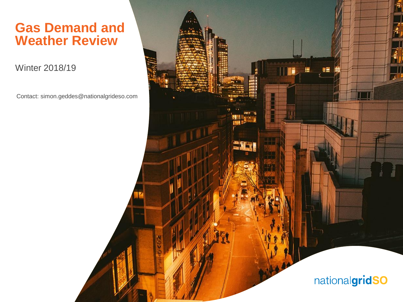#### **Gas Demand and Weather Review**

Winter 2018/19

Contact: simon.geddes@nationalgrideso.com

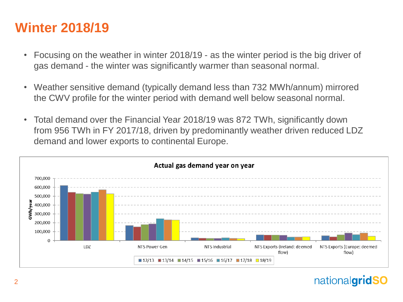# **Winter 2018/19**

- Focusing on the weather in winter 2018/19 as the winter period is the big driver of gas demand - the winter was significantly warmer than seasonal normal.
- Weather sensitive demand (typically demand less than 732 MWh/annum) mirrored the CWV profile for the winter period with demand well below seasonal normal.
- Total demand over the Financial Year 2018/19 was 872 TWh, significantly down from 956 TWh in FY 2017/18, driven by predominantly weather driven reduced LDZ demand and lower exports to continental Europe.

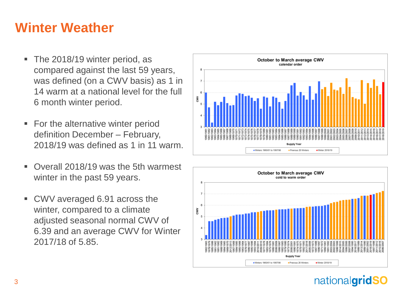# **Winter Weather**

- The 2018/19 winter period, as compared against the last 59 years, was defined (on a CWV basis) as 1 in 14 warm at a national level for the full 6 month winter period.
- For the alternative winter period definition December – February, 2018/19 was defined as 1 in 11 warm.
- Overall 2018/19 was the 5th warmest winter in the past 59 years.
- CWV averaged 6.91 across the winter, compared to a climate adjusted seasonal normal CWV of 6.39 and an average CWV for Winter 2017/18 of 5.85.



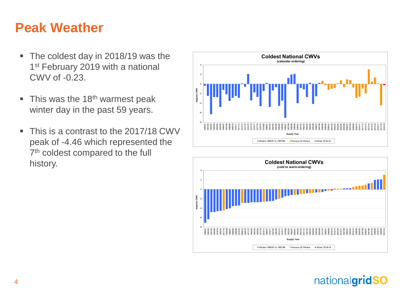# **Peak Weather**

- The coldest day in 2018/19 was the 1<sup>st</sup> February 2019 with a national CWV of -0.23.
- $\blacksquare$  This was the 18<sup>th</sup> warmest peak winter day in the past 59 years.
- This is a contrast to the 2017/18 CWV peak of -4.46 which represented the 7<sup>th</sup> coldest compared to the full history.





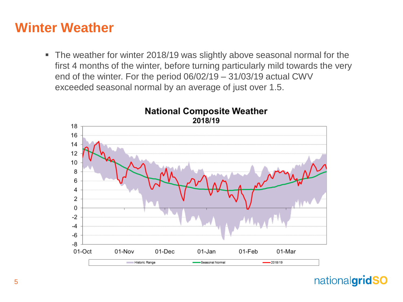### **Winter Weather**

■ The weather for winter 2018/19 was slightly above seasonal normal for the first 4 months of the winter, before turning particularly mild towards the very end of the winter. For the period 06/02/19 – 31/03/19 actual CWV exceeded seasonal normal by an average of just over 1.5.